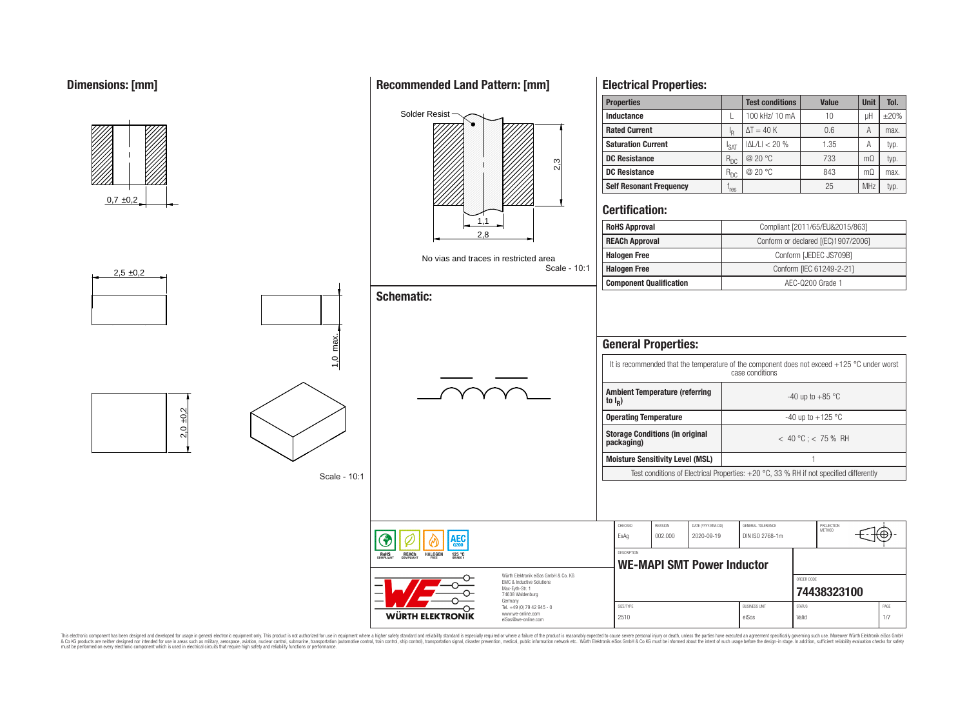## **Dimensions: [mm]**



This electronic component has been designed and developed for usage in general electronic equipment only. This product is not authorized for use in equipment where a higher safely standard and reliability standard si espec & Ook product a label and the membed of the seasuch as marked and as which such a membed and the such assume that income in the seasuch and the simulation and the such assume that include to the such a membed and the such

## **Recommended Land Pattern: [mm]**

**Electrical Properties:**

**Properties Test conditions Value Unit Tol.**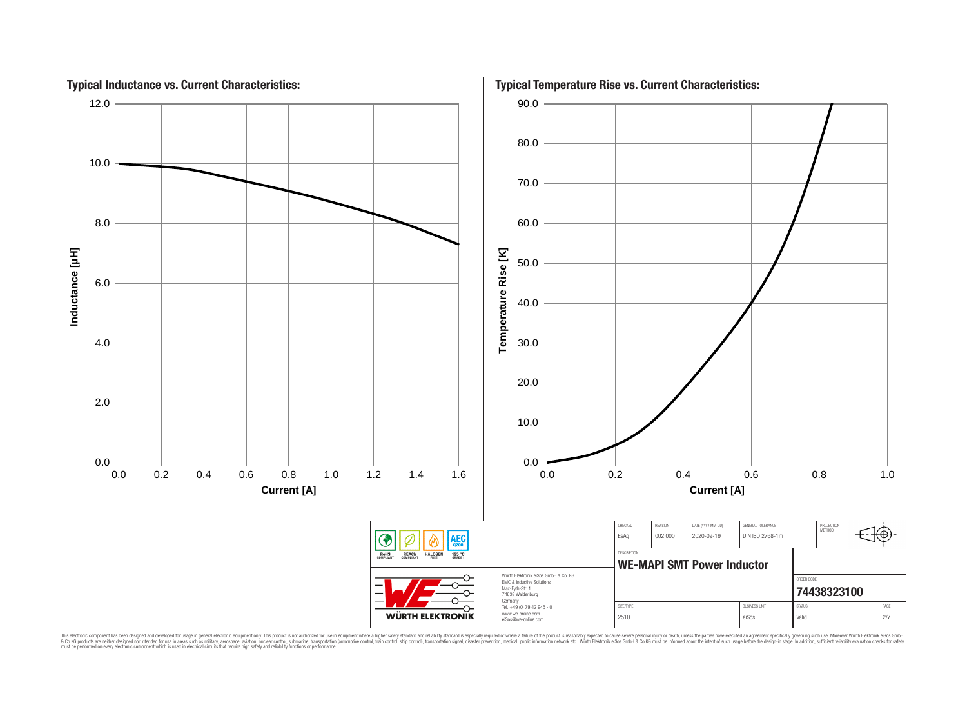

This electronic component has been designed and developed for usage in general electronic equipment only. This product is not authorized for subserved requipment where a higher selection equipment where a higher selection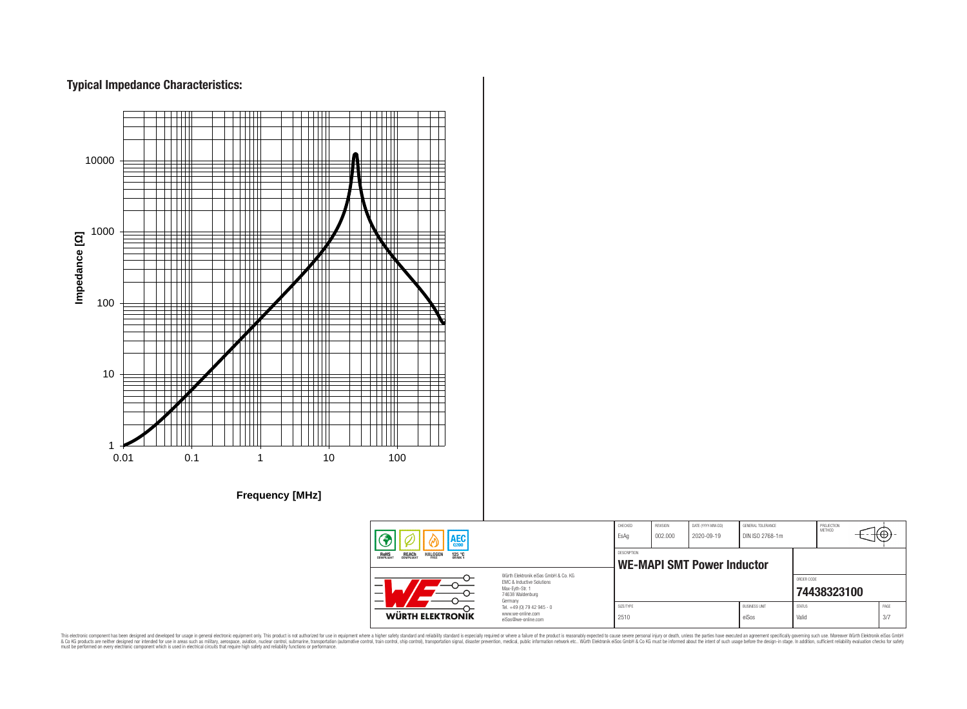# **Typical Impedance Characteristics:**



This electronic component has been designed and developed for usage in general electronic equipment only. This product is not authorized for use in equipment where a higher safely standard and reliability standard si espec & Ook product a label and the membed of the seasuch as marked and as which such a membed and the such assume that income in the seasuch and the simulation and the such assume that include to the such a membed and the such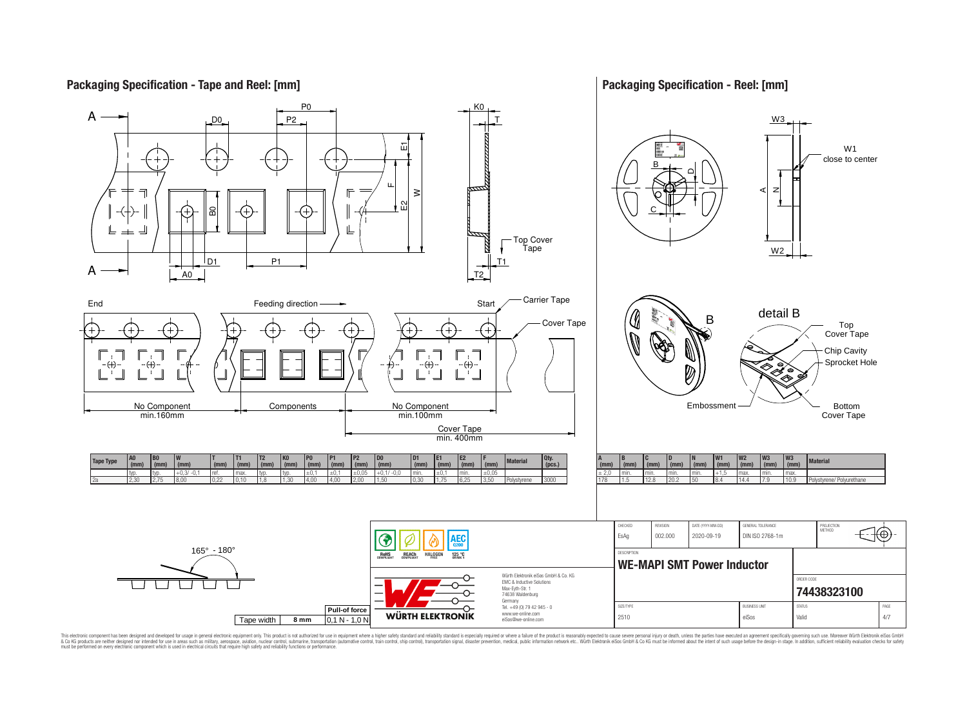#### **Packaging Specification - Reel: [mm] Packaging Specification - Tape and Reel: [mm]** P0 K0 A P2 W3 D0 T Ĕц W1 close to center B DLL. z A $\geq$  $\Omega$ ន C ╚ ╪ است Top Cover N Tape W2 D<sub>1</sub> P1 T1 A A0 T2 End End Start  $\begin{array}{ccc} \text{Feeding direction} \longrightarrow & \text{Stat} \end{array}$ detail B B Cover Tape Top (+ Cover Tape Chip Cavity Sprocket Hole  $\oplus$  $\oplus$  $\cdot \left( \! \! + \! \right)$ ″ Ø ′⊗ Components  $\Box$  No Component Embossment No Component Bottom min.160mm min.100mm Cover Tape Cover Tape min. 400mm **T2 P2 D0 D1 E1 E2 F** (mm) Material Qty.<br>  $\begin{array}{c|c}\n\hline\n\text{f} & \text{Materal} \\
\hline\n\text{f} & \text{g}\n\end{array}$ **W1 W2 W3 W3 B0 W T T1 K0 P0 P1 A (mm) B C D (mm) N Tape Type (mm) Material**  $\frac{(\text{mm})}{+0.1/-0.0}$  **(mm) (mm) (mm) (pcs.)**  $\frac{(mm)}{+1.5}$  **(mm)** *f*<sub>mm</sub>  **(mm) (mm) (mm) (mm) (mm) (mm) (mm) (mm) (mm) (mm) (mm) (mm) (mm) (mm)** typ. typ. +0,3/ -0,1 ref. max. typ. typ. ±0,1 ±0,1 ±0,05 +0,1/ -0,0 min. ±0,1 min. ±0,05 ± 2,0 min. min. min. min. +1,5 max. min. max. 178 1.5 12.8 20.2 50 8.4 14.4 7.9 10.9 Polystyrene/ Polyurethane 2a 2,30 2,75 8,00 0,22 0,10 1,8 1,30 4,00 4,00 2,00 1,50 0,30 1,75 6,25 3,50 Polystyrene 3000 CHECKED REVISION DATE (YYYY-MM-DD) GENERAL TOLERANCE PROJECTION<br>METHOD 16 EsAg 002.000 2020-09-19 DIN ISO 2768-1m AEC (1 165° - 180° **DESCRIPTION RoHS** REACH **HALOGEN** 125 °C **WE-MAPI SMT Power Inductor** Würth Elektronik eiSos GmbH & Co. KG ORDER CODE EMC & Inductive Solutions Max-Eyth-Str. 1 **[74438323100](https://katalog.we-online.de/en/pbs/WE-MAPI/74438323100)** 74638 Waldenburg Germany

This electronic component has been designed and developed for usage in general electronic equipment only. This product is not authorized for subserved requipment where a higher selection equipment where a higher selection

**WÜRTH ELEKTRONIK** 

Tel. +49 (0) 79 42 945 - 0 www.we-online.com eiSos@we-online.com

SIZE/TYPE BUSINESS UNIT STATUS PAGE 2510 eiSos | Valid 4/7

**Pull-of force**

Tape width **8 mm** 0,1 N - 1,0 N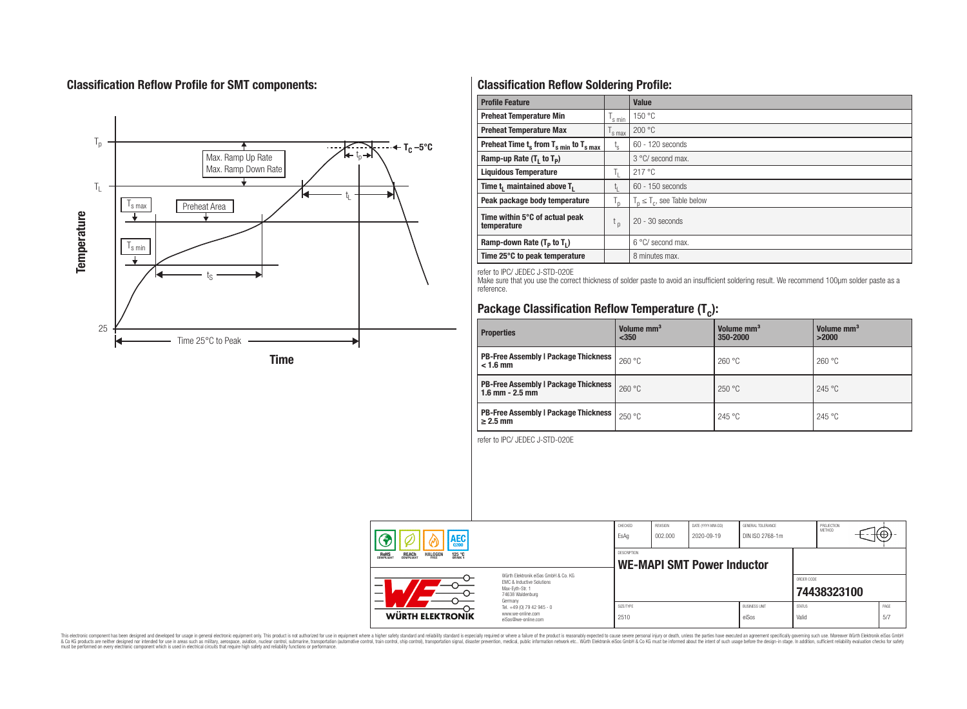# **Classification Reflow Profile for SMT components:**



# **Classification Reflow Soldering Profile:**

| <b>Profile Feature</b>                             |                    | <b>Value</b>                     |
|----------------------------------------------------|--------------------|----------------------------------|
| <b>Preheat Temperature Min</b>                     | <sup>I</sup> s min | 150 °C                           |
| <b>Preheat Temperature Max</b>                     | <sup>I</sup> s max | 200 °C                           |
| Preheat Time $t_s$ from $T_{s min}$ to $T_{s max}$ | $t_{\rm s}$        | $60 - 120$ seconds               |
| Ramp-up Rate $(T_1$ to $T_p$ )                     |                    | 3 °C/ second max.                |
| <b>Liquidous Temperature</b>                       | Ь.                 | 217 °C                           |
| Time $t_i$ maintained above $T_i$                  | կ                  | $60 - 150$ seconds               |
| Peak package body temperature                      | l n                | $T_p \leq T_c$ , see Table below |
| Time within 5°C of actual peak<br>temperature      | $t_{p}$            | $20 - 30$ seconds                |
| Ramp-down Rate $(T_p$ to $T_1$ )                   |                    | $6^{\circ}$ C/ second max.       |
| Time 25°C to peak temperature                      |                    | 8 minutes max.                   |

refer to IPC/ JEDEC J-STD-020E

Make sure that you use the correct thickness of solder paste to avoid an insufficient soldering result. We recommend 100µm solder paste as a reference.

# **Package Classification Reflow Temperature (T<sup>c</sup> ):**

| <b>Properties</b>                                                    | Volume mm <sup>3</sup><br>< 350 | Volume mm <sup>3</sup><br>350-2000 | Volume mm <sup>3</sup><br>>2000 |
|----------------------------------------------------------------------|---------------------------------|------------------------------------|---------------------------------|
| <b>PB-Free Assembly   Package Thickness  </b><br>$< 1.6$ mm          | 260 °C                          | 260 °C                             | 260 °C                          |
| <b>PB-Free Assembly   Package Thickness  </b><br>$1.6$ mm $- 2.5$ mm | 260 °C                          | 250 °C                             | 245 °C                          |
| <b>PB-Free Assembly   Package Thickness  </b><br>$\geq$ 2.5 mm       | 250 °C                          | 245 °C                             | 245 °C                          |

refer to IPC/ JEDEC J-STD-020E

| AEC<br><b>REACH</b><br>COMPLIANT<br><b>HALOGEN</b><br><b>ROHS</b><br>COMPLIANT<br>125 °C |                                                                                                                     | CHECKED<br>EsAq                                  | REVISION<br>002.000 | DATE (YYYY-MM-DD)<br>2020-09-19 | GENERAL TOLERANCE<br>DIN ISO 2768-1m |                        | PROJECTION<br>METHOD | ⊕            |  |
|------------------------------------------------------------------------------------------|---------------------------------------------------------------------------------------------------------------------|--------------------------------------------------|---------------------|---------------------------------|--------------------------------------|------------------------|----------------------|--------------|--|
|                                                                                          |                                                                                                                     | DESCRIPTION<br><b>WE-MAPI SMT Power Inductor</b> |                     |                                 |                                      |                        |                      |              |  |
|                                                                                          | Würth Flektronik eiSos GmbH & Co. KG<br>EMC & Inductive Solutions<br>Max-Eyth-Str. 1<br>74638 Waldenburg<br>Germany |                                                  |                     |                                 |                                      | ORDER CODE             | 74438323100          |              |  |
| WÜRTH ELEKTRONIK                                                                         | Tel. +49 (0) 79 42 945 - 0<br>www.we-online.com<br>eiSos@we-online.com                                              | SIZE/TYPE<br>2510                                |                     |                                 | <b>BUSINESS UNIT</b><br>eiSos        | <b>STATUS</b><br>Valid |                      | PAGE<br>.5/7 |  |

This electronic component has been designed and developed for usage in general electronic equipment only. This product is not authorized for subserved requipment where a higher selection equipment where a higher selection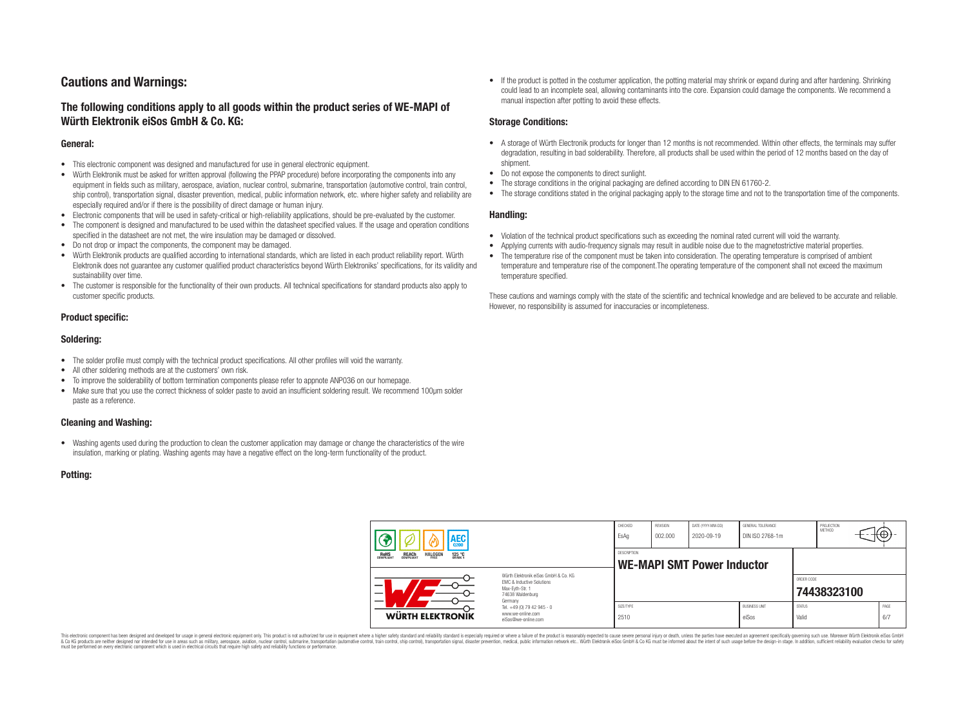# **Cautions and Warnings:**

### **The following conditions apply to all goods within the product series of WE-MAPI of Würth Elektronik eiSos GmbH & Co. KG:**

#### **General:**

- This electronic component was designed and manufactured for use in general electronic equipment.
- Würth Elektronik must be asked for written approval (following the PPAP procedure) before incorporating the components into any equipment in fields such as military, aerospace, aviation, nuclear control, submarine, transportation (automotive control, train control, ship control), transportation signal, disaster prevention, medical, public information network, etc. where higher safety and reliability are especially required and/or if there is the possibility of direct damage or human injury.
- Electronic components that will be used in safety-critical or high-reliability applications, should be pre-evaluated by the customer.
- The component is designed and manufactured to be used within the datasheet specified values. If the usage and operation conditions specified in the datasheet are not met, the wire insulation may be damaged or dissolved.
- Do not drop or impact the components, the component may be damaged.
- Würth Elektronik products are qualified according to international standards, which are listed in each product reliability report. Würth Elektronik does not guarantee any customer qualified product characteristics beyond Würth Elektroniks' specifications, for its validity and sustainability over time.
- The customer is responsible for the functionality of their own products. All technical specifications for standard products also apply to customer specific products.

### **Product specific:**

#### **Soldering:**

- The solder profile must comply with the technical product specifications. All other profiles will void the warranty.
- All other soldering methods are at the customers' own risk.
- To improve the solderability of bottom termination components please refer to appnote ANP036 on our homepage.
- Make sure that you use the correct thickness of solder paste to avoid an insufficient soldering result. We recommend 100µm solder paste as a reference.

### **Cleaning and Washing:**

• Washing agents used during the production to clean the customer application may damage or change the characteristics of the wire insulation, marking or plating. Washing agents may have a negative effect on the long-term functionality of the product.

#### **Potting:**

• If the product is potted in the costumer application, the potting material may shrink or expand during and after hardening. Shrinking could lead to an incomplete seal, allowing contaminants into the core. Expansion could damage the components. We recommend a manual inspection after potting to avoid these effects.

#### **Storage Conditions:**

- A storage of Würth Electronik products for longer than 12 months is not recommended. Within other effects, the terminals may suffer degradation, resulting in bad solderability. Therefore, all products shall be used within the period of 12 months based on the day of shipment.
- Do not expose the components to direct sunlight.
- The storage conditions in the original packaging are defined according to DIN EN 61760-2.
- The storage conditions stated in the original packaging apply to the storage time and not to the transportation time of the components.

#### **Handling:**

- Violation of the technical product specifications such as exceeding the nominal rated current will void the warranty.
- Applying currents with audio-frequency signals may result in audible noise due to the magnetostrictive material properties.
- The temperature rise of the component must be taken into consideration. The operating temperature is comprised of ambient temperature and temperature rise of the component.The operating temperature of the component shall not exceed the maximum temperature specified.

These cautions and warnings comply with the state of the scientific and technical knowledge and are believed to be accurate and reliable. However, no responsibility is assumed for inaccuracies or incompleteness.

| AEC<br>125 °C<br><b>ROHS</b><br>COMPLIANT<br><b>REACH</b><br>COMPLIANT<br><b>HALOGEN</b> |                                                                                                                                                                                               | CHECKED<br>EsAq                                  | <b>REVISION</b><br>002.000 | DATE (YYYY-MM-DD)<br>2020-09-19 | GENERAL TOLERANCE<br>DIN ISO 2768-1m |                        | PROJECTION<br>METHOD |  | ťΦ          |
|------------------------------------------------------------------------------------------|-----------------------------------------------------------------------------------------------------------------------------------------------------------------------------------------------|--------------------------------------------------|----------------------------|---------------------------------|--------------------------------------|------------------------|----------------------|--|-------------|
|                                                                                          |                                                                                                                                                                                               | DESCRIPTION<br><b>WE-MAPI SMT Power Inductor</b> |                            |                                 |                                      |                        |                      |  |             |
|                                                                                          | Würth Flektronik eiSos GmbH & Co. KG<br>FMC & Inductive Solutions<br>Max-Eyth-Str. 1<br>74638 Waldenburg<br>Germany<br>Tel. +49 (0) 79 42 945 - 0<br>www.we-online.com<br>eiSos@we-online.com |                                                  |                            |                                 |                                      | ORDER CODE             | 74438323100          |  |             |
| WÜRTH ELEKTRONIK                                                                         |                                                                                                                                                                                               | SIZE/TYPE<br>2510                                |                            |                                 | <b>BUSINESS UNIT</b><br>eiSos        | <b>STATUS</b><br>Valid |                      |  | PAGE<br>6/7 |

This electronic component has been designed and developed for usage in general electronic equipment only. This product is not authorized for use in equipment where a higher safety standard and reliability standard si espec & Ook product a label and the membed of the seasuch as marked and as which such a membed and the such assume that income in the seasuch and the simulation and the such assume that include to the such a membed and the such